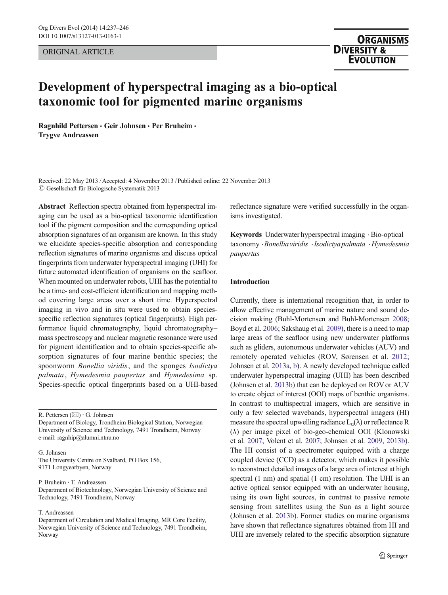ORIGINAL ARTICLE

# **ORGANISMS DIVERSITY & EVOLUTION**

# Development of hyperspectral imaging as a bio-optical taxonomic tool for pigmented marine organisms

Ragnhild Pettersen · Geir Johnsen · Per Bruheim · Trygve Andreassen

Received: 22 May 2013 /Accepted: 4 November 2013 / Published online: 22 November 2013  $\odot$  Gesellschaft für Biologische Systematik 2013

Abstract Reflection spectra obtained from hyperspectral imaging can be used as a bio-optical taxonomic identification tool if the pigment composition and the corresponding optical absorption signatures of an organism are known. In this study we elucidate species-specific absorption and corresponding reflection signatures of marine organisms and discuss optical fingerprints from underwater hyperspectral imaging (UHI) for future automated identification of organisms on the seafloor. When mounted on underwater robots, UHI has the potential to be a time- and cost-efficient identification and mapping method covering large areas over a short time. Hyperspectral imaging in vivo and in situ were used to obtain speciesspecific reflection signatures (optical fingerprints). High performance liquid chromatography, liquid chromatography– mass spectroscopy and nuclear magnetic resonance were used for pigment identification and to obtain species-specific absorption signatures of four marine benthic species; the spoonworm Bonellia viridis, and the sponges Isodictya palmata, Hymedesmia paupertas and Hymedesima sp. Species-specific optical fingerprints based on a UHI-based

R. Pettersen  $(\boxtimes) \cdot G$ . Johnsen

Department of Biology, Trondheim Biological Station, Norwegian University of Science and Technology, 7491 Trondheim, Norway e-mail: ragnhip@alumni.ntnu.no

G. Johnsen

The University Centre on Svalbard, PO Box 156, 9171 Longyearbyen, Norway

P. Bruheim : T. Andreassen

Department of Biotechnology, Norwegian University of Science and Technology, 7491 Trondheim, Norway

# T. Andreassen

Department of Circulation and Medical Imaging, MR Core Facility, Norwegian University of Science and Technology, 7491 Trondheim, Norway

reflectance signature were verified successfully in the organisms investigated.

Keywords Underwater hyperspectral imaging . Bio-optical taxonomy .Bonelliaviridis .Isodictya palmata .Hymedesmia paupertas

# Introduction

Currently, there is international recognition that, in order to allow effective management of marine nature and sound decision making (Buhl-Mortensen and Buhl-Mortensen [2008;](#page-9-0) Boyd et al. [2006](#page-9-0); Sakshaug et al. [2009\)](#page-9-0), there is a need to map large areas of the seafloor using new underwater platforms such as gliders, autonomous underwater vehicles (AUV) and remotely operated vehicles (ROV, Sørensen et al. [2012;](#page-9-0) Johnsen et al. [2013a,](#page-9-0) [b\)](#page-9-0). A newly developed technique called underwater hyperspectral imaging (UHI) has been described (Johnsen et al. [2013b](#page-9-0)) that can be deployed on ROV or AUV to create object of interest (OOI) maps of benthic organisms. In contrast to multispectral imagers, which are sensitive in only a few selected wavebands, hyperspectral imagers (HI) measure the spectral upwelling radiance  $L_u(\lambda)$  or reflectance R (λ) per image pixel of bio-geo-chemical OOI (Klonowski et al. [2007;](#page-9-0) Volent et al. [2007](#page-9-0); Johnsen et al. [2009](#page-9-0), [2013b\)](#page-9-0). The HI consist of a spectrometer equipped with a charge coupled device (CCD) as a detector, which makes it possible to reconstruct detailed images of a large area of interest at high spectral (1 nm) and spatial (1 cm) resolution. The UHI is an active optical sensor equipped with an underwater housing, using its own light sources, in contrast to passive remote sensing from satellites using the Sun as a light source (Johnsen et al. [2013b\)](#page-9-0). Former studies on marine organisms have shown that reflectance signatures obtained from HI and UHI are inversely related to the specific absorption signature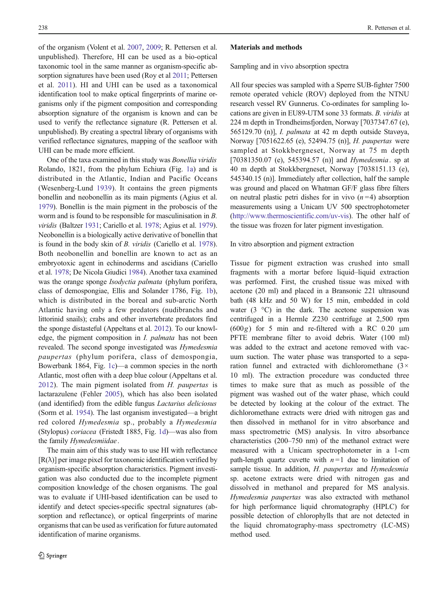of the organism (Volent et al. [2007,](#page-9-0) [2009;](#page-9-0) R. Pettersen et al. unpublished). Therefore, HI can be used as a bio-optical taxonomic tool in the same manner as organism-specific absorption signatures have been used (Roy et al [2011;](#page-9-0) Pettersen et al. [2011\)](#page-9-0). HI and UHI can be used as a taxonomical identification tool to make optical fingerprints of marine organisms only if the pigment composition and corresponding absorption signature of the organism is known and can be used to verify the reflectance signature (R. Pettersen et al. unpublished). By creating a spectral library of organisms with verified reflectance signatures, mapping of the seafloor with UHI can be made more efficient.

One of the taxa examined in this study was Bonellia viridis Rolando, 1821, from the phylum Echiura (Fig. [1a\)](#page-2-0) and is distributed in the Atlantic, Indian and Pacific Oceans (Wesenberg-Lund [1939\)](#page-9-0). It contains the green pigments bonellin and neobonellin as its main pigments (Agius et al. [1979\)](#page-9-0). Bonellin is the main pigment in the proboscis of the worm and is found to be responsible for masculinisation in B. viridis (Baltzer [1931](#page-9-0); Cariello et al. [1978;](#page-9-0) Agius et al. [1979\)](#page-9-0). Neobonellin is a biologically active derivative of bonellin that is found in the body skin of B. viridis (Cariello et al. [1978\)](#page-9-0). Both neobonellin and bonellin are known to act as an embryotoxic agent in echinoderms and ascidians (Cariello et al. [1978;](#page-9-0) De Nicola Giudici [1984](#page-9-0)). Another taxa examined was the orange sponge Isodyctia palmata (phylum porifera, class of demospongiae, Ellis and Solander 1786, Fig. [1b\)](#page-2-0), which is distributed in the boreal and sub-arctic North Atlantic having only a few predators (nudibranchs and littorinid snails); crabs and other invertebrate predators find the sponge distasteful (Appeltans et al. [2012\)](#page-9-0). To our knowledge, the pigment composition in *I. palmata* has not been revealed. The second sponge investigated was Hymedesmia paupertas (phylum porifera, class of demospongia, Bowerbank 1864, Fig. [1c\)](#page-2-0)—a common species in the north Atlantic, most often with a deep blue colour (Appeltans et al. [2012](#page-9-0)). The main pigment isolated from  $H$ . paupertas is lactarazulene (Fehler [2005\)](#page-9-0), which has also been isolated (and identified) from the edible fungus Lactarius deliciosus (Sorm et al. [1954](#page-9-0)). The last organism investigated—a bright red colored Hymedesmia sp., probably a Hymedesmia (Stylopus) coriacea (Fristedt 1885, Fig. [1d\)](#page-2-0)—was also from the family Hymedesmiidae.

The main aim of this study was to use HI with reflectance  $[R(\lambda)]$  per image pixel for taxonomic identification verified by organism-specific absorption characteristics. Pigment investigation was also conducted due to the incomplete pigment composition knowledge of the chosen organisms. The goal was to evaluate if UHI-based identification can be used to identify and detect species-specific spectral signatures (absorption and reflectance), or optical fingerprints of marine organisms that can be used as verification for future automated identification of marine organisms.

#### Materials and methods

Sampling and in vivo absorption spectra

All four species was sampled with a Sperre SUB-fighter 7500 remote operated vehicle (ROV) deployed from the NTNU research vessel RV Gunnerus. Co-ordinates for sampling locations are given in EU89-UTM sone 33 formats. B. viridis at 224 m depth in Trondheimsfjorden, Norway [7037347.67 (e), 565129.70 (n)], I. palmata at 42 m depth outside Stavøya, Norway [7051622.65 (e), 52494.75 (n)], H. paupertas were sampled at Stokkbergneset, Norway at 75 m depth [70381350.07 (e), 545394.57 (n)] and *Hymedesmia*. sp at 40 m depth at Stokkbergneset, Norway [7038151.13 (e), 545340.15 (n)]. Immediately after collection, half the sample was ground and placed on Whatman GF/F glass fibre filters on neutral plastic petri dishes for in vivo  $(n=4)$  absorption measurements using a Unicam UV 500 spectrophotometer [\(http://www.thermoscientific.com/uv-vis\)](http://www.thermoscientific.com/uv-vis). The other half of the tissue was frozen for later pigment investigation.

In vitro absorption and pigment extraction

Tissue for pigment extraction was crushed into small fragments with a mortar before liquid–liquid extraction was performed. First, the crushed tissue was mixed with acetone (20 ml) and placed in a Bransonic 221 ultrasound bath (48 kHz and 50 W) for 15 min, embedded in cold water  $(3 \degree C)$  in the dark. The acetone suspension was centrifuged in a Hermle Z230 centrifuge at 2,500 rpm  $(600g)$  for 5 min and re-filtered with a RC 0.20  $\mu$ m PFTE membrane filter to avoid debris. Water (100 ml) was added to the extract and acetone removed with vacuum suction. The water phase was transported to a separation funnel and extracted with dichloromethane  $(3 \times$ 10 ml). The extraction procedure was conducted three times to make sure that as much as possible of the pigment was washed out of the water phase, which could be detected by looking at the colour of the extract. The dichloromethane extracts were dried with nitrogen gas and then dissolved in methanol for in vitro absorbance and mass spectrometric (MS) analysis. In vitro absorbance characteristics (200–750 nm) of the methanol extract were measured with a Unicam spectrophotometer in a 1-cm path-length quartz cuvette with  $n = 1$  due to limitation of sample tissue. In addition, H. paupertas and Hymedesmia sp. acetone extracts were dried with nitrogen gas and dissolved in methanol and prepared for MS analysis. Hymedesmia paupertas was also extracted with methanol for high performance liquid chromatography (HPLC) for possible detection of chlorophylls that are not detected in the liquid chromatography-mass spectrometry (LC-MS) method used.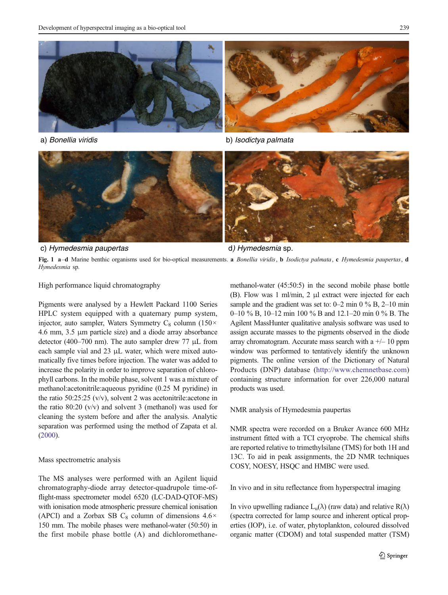<span id="page-2-0"></span>

a) *Bonellia viridis* b) *Isodictya palmata*



c) *Hymedesmia paupertas* d*) Hymedesmia* sp.

Fig. 1 a–d Marine benthic organisms used for bio-optical measurements. a *Bonellia viridis*, **b** *Isodictya palmata*, **c** *Hymedesmia paupertas*, **d** Hymedesmia sp.

High performance liquid chromatography

Pigments were analysed by a Hewlett Packard 1100 Series HPLC system equipped with a quaternary pump system, injector, auto sampler, Waters Symmetry C<sub>8</sub> column (150 $\times$ 4.6 mm, 3.5 μm particle size) and a diode array absorbance detector (400–700 nm). The auto sampler drew 77 μL from each sample vial and 23 μL water, which were mixed automatically five times before injection. The water was added to increase the polarity in order to improve separation of chlorophyll carbons. In the mobile phase, solvent 1 was a mixture of methanol:acetonitrile:aqueous pyridine (0.25 M pyridine) in the ratio 50:25:25 (v/v), solvent 2 was acetonitrile:acetone in the ratio 80:20 (v/v) and solvent 3 (methanol) was used for cleaning the system before and after the analysis. Analytic separation was performed using the method of Zapata et al. [\(2000\)](#page-9-0).

#### Mass spectrometric analysis

The MS analyses were performed with an Agilent liquid chromatography-diode array detector-quadrupole time-offlight-mass spectrometer model 6520 (LC-DAD-QTOF-MS) with ionisation mode atmospheric pressure chemical ionisation (APCI) and a Zorbax SB C<sub>8</sub> column of dimensions  $4.6\times$ 150 mm. The mobile phases were methanol-water (50:50) in the first mobile phase bottle (A) and dichloromethanemethanol-water (45:50:5) in the second mobile phase bottle (B). Flow was 1 ml/min, 2 μl extract were injected for each sample and the gradient was set to:  $0-2$  min  $0\%$  B,  $2-10$  min 0–10 % B, 10–12 min 100 % B and 12.1–20 min 0 % B. The Agilent MassHunter qualitative analysis software was used to assign accurate masses to the pigments observed in the diode array chromatogram. Accurate mass search with a  $+/- 10$  ppm window was performed to tentatively identify the unknown pigments. The online version of the Dictionary of Natural Products (DNP) database [\(http://www.chemnetbase.com](http://www.chemnetbase.com/)) containing structure information for over 226,000 natural products was used.

NMR analysis of Hymedesmia paupertas

NMR spectra were recorded on a Bruker Avance 600 MHz instrument fitted with a TCI cryoprobe. The chemical shifts are reported relative to trimethylsilane (TMS) for both 1H and 13C. To aid in peak assignments, the 2D NMR techniques COSY, NOESY, HSQC and HMBC were used.

In vivo and in situ reflectance from hyperspectral imaging

In vivo upwelling radiance  $L_u(\lambda)$  (raw data) and relative  $R(\lambda)$ (spectra corrected for lamp source and inherent optical properties (IOP), i.e. of water, phytoplankton, coloured dissolved organic matter (CDOM) and total suspended matter (TSM)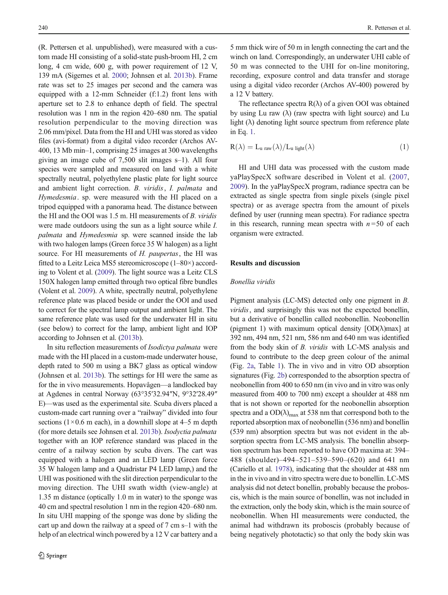<span id="page-3-0"></span>(R. Pettersen et al. unpublished), were measured with a custom made HI consisting of a solid-state push-broom HI, 2 cm long, 4 cm wide, 600 g, with power requirement of 12 V, 139 mA (Sigernes et al. [2000](#page-9-0); Johnsen et al. [2013b\)](#page-9-0). Frame rate was set to 25 images per second and the camera was equipped with a 12-mm Schneider (f:1.2) front lens with aperture set to 2.8 to enhance depth of field. The spectral resolution was 1 nm in the region 420–680 nm. The spatial resolution perpendicular to the moving direction was 2.06 mm/pixel. Data from the HI and UHI was stored as video files (avi-format) from a digital video recorder (Archos AV-400, 13 Mb min–1, comprising 25 images at 300 wavelengths giving an image cube of 7,500 slit images s–1). All four species were sampled and measured on land with a white spectrally neutral, polyethylene plastic plate for light source and ambient light correction. B. viridis, I. palmata and Hymedesmia. sp. were measured with the HI placed on a tripod equipped with a panorama head. The distance between the HI and the OOI was 1.5 m. HI measurements of B. viridis were made outdoors using the sun as a light source while I. palmata and Hymedesmia sp. were scanned inside the lab with two halogen lamps (Green force 35 W halogen) as a light source. For HI measurements of H. paupertas, the HI was fitted to a Leitz Leica MS5 stereomicroscope (1–80×) according to Volent et al. [\(2009\)](#page-9-0). The light source was a Leitz CLS 150X halogen lamp emitted through two optical fibre bundles (Volent et al. [2009](#page-9-0)). A white, spectrally neutral, polyethylene reference plate was placed beside or under the OOI and used to correct for the spectral lamp output and ambient light. The same reference plate was used for the underwater HI in situ (see below) to correct for the lamp, ambient light and IOP according to Johnsen et al. ([2013b](#page-9-0)).

In situ reflection measurements of Isodictya palmata were made with the HI placed in a custom-made underwater house, depth rated to 500 m using a BK7 glass as optical window (Johnsen et al. [2013b](#page-9-0)). The settings for HI were the same as for the in vivo measurements. Hopavågen—a landlocked bay at Agdenes in central Norway (63°35′32.94″N, 9°32′28.49″ E)—was used as the experimental site. Scuba divers placed a custom-made cart running over a "railway" divided into four sections ( $1 \times 0.6$  m each), in a downhill slope at 4–5 m depth (for more details see Johnsen et al. [2013b\)](#page-9-0). Isodyctia palmata together with an IOP reference standard was placed in the centre of a railway section by scuba divers. The cart was equipped with a halogen and an LED lamp (Green force 35 W halogen lamp and a Quadristar P4 LED lamp,) and the UHI was positioned with the slit direction perpendicular to the moving direction. The UHI swath width (view-angle) at 1.35 m distance (optically 1.0 m in water) to the sponge was 40 cm and spectral resolution 1 nm in the region 420–680 nm. In situ UHI mapping of the sponge was done by sliding the cart up and down the railway at a speed of 7 cm s–1 with the help of an electrical winch powered by a 12 V car battery and a 5 mm thick wire of 50 m in length connecting the cart and the winch on land. Correspondingly, an underwater UHI cable of 50 m was connected to the UHI for on-line monitoring, recording, exposure control and data transfer and storage using a digital video recorder (Archos AV-400) powered by a 12 V battery.

The reflectance spectra  $R(\lambda)$  of a given OOI was obtained by using Lu raw  $(\lambda)$  (raw spectra with light source) and Lu light  $(\lambda)$  denoting light source spectrum from reference plate in Eq. 1.

$$
R(\lambda) = L_{u \text{ raw}}(\lambda) / L_{u \text{ light}}(\lambda)
$$
\n(1)

HI and UHI data was processed with the custom made yaPlaySpecX software described in Volent et al. [\(2007,](#page-9-0) [2009\)](#page-9-0). In the yaPlaySpecX program, radiance spectra can be extracted as single spectra from single pixels (single pixel spectra) or as average spectra from the amount of pixels defined by user (running mean spectra). For radiance spectra in this research, running mean spectra with  $n = 50$  of each organism were extracted.

### Results and discussion

#### Bonellia viridis

Pigment analysis (LC-MS) detected only one pigment in B. viridis, and surprisingly this was not the expected bonellin, but a derivative of bonellin called neobonellin. Neobonellin (pigment 1) with maximum optical density  $[OD(\lambda)$ max] at 392 nm, 494 nm, 521 nm, 586 nm and 640 nm was identified from the body skin of B. viridis with LC-MS analysis and found to contribute to the deep green colour of the animal (Fig. [2a,](#page-4-0) Table [1\)](#page-5-0). The in vivo and in vitro OD absorption signatures (Fig. [2b](#page-4-0)) corresponded to the absorption spectra of neobonellin from 400 to 650 nm (in vivo and in vitro was only measured from 400 to 700 nm) except a shoulder at 488 nm that is not shown or reported for the neobonellin absorption spectra and a  $OD(\lambda)_{\text{max}}$  at 538 nm that correspond both to the reported absorption max of neobonellin (536 nm) and bonellin (539 nm) absorption spectra but was not evident in the absorption spectra from LC-MS analysis. The bonellin absorption spectrum has been reported to have OD maxima at: 394– 488 (shoulder)–494–521–539–590–(620) and 641 nm (Cariello et al. [1978](#page-9-0)), indicating that the shoulder at 488 nm in the in vivo and in vitro spectra were due to bonellin. LC-MS analysis did not detect bonellin, probably because the proboscis, which is the main source of bonellin, was not included in the extraction, only the body skin, which is the main source of neobonellin. When HI measurements were conducted, the animal had withdrawn its proboscis (probably because of being negatively phototactic) so that only the body skin was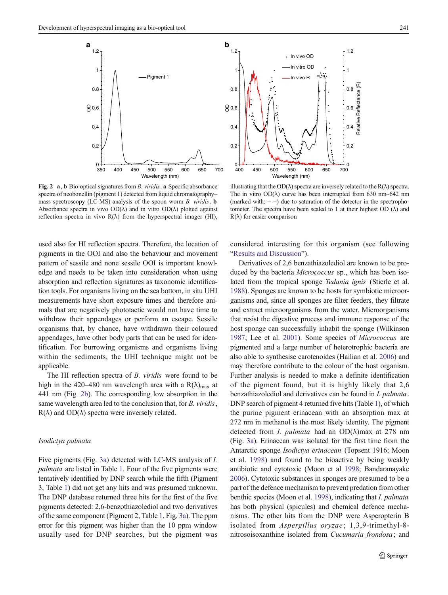1.2

<span id="page-4-0"></span>

Fig. 2 a, b Bio-optical signatures from B. viridis. a Specific absorbance spectra of neobonellin (pigment 1) detected from liquid chromatography– mass spectroscopy (LC-MS) analysis of the spoon worm B. viridis. **b** Absorbance spectra in vivo  $OD(\lambda)$  and in vitro  $OD(\lambda)$  plotted against reflection spectra in vivo  $R(\lambda)$  from the hyperspectral imager (HI),

used also for HI reflection spectra. Therefore, the location of pigments in the OOI and also the behaviour and movement pattern of sessile and none sessile OOI is important knowledge and needs to be taken into consideration when using absorption and reflection signatures as taxonomic identification tools. For organisms living on the sea bottom, in situ UHI measurements have short exposure times and therefore animals that are negatively phototactic would not have time to withdraw their appendages or perform an escape. Sessile organisms that, by chance, have withdrawn their coloured appendages, have other body parts that can be used for identification. For burrowing organisms and organisms living within the sediments, the UHI technique might not be applicable.

The HI reflection spectra of B. viridis were found to be high in the 420–480 nm wavelength area with a  $R(\lambda)_{\text{max}}$  at 441 nm (Fig. 2b). The corresponding low absorption in the same wavelength area led to the conclusion that, for B. *viridis*,  $R(\lambda)$  and  $OD(\lambda)$  spectra were inversely related.

# Isodictya palmata

Five pigments (Fig. [3a\)](#page-5-0) detected with LC-MS analysis of I. palmata are listed in Table [1](#page-5-0). Four of the five pigments were tentatively identified by DNP search while the fifth (Pigment 3, Table [1](#page-5-0)) did not get any hits and was presumed unknown. The DNP database returned three hits for the first of the five pigments detected: 2,6-benzothiazolediol and two derivatives of the same component (Pigment 2, Table [1](#page-5-0), Fig. [3a](#page-5-0)). The ppm error for this pigment was higher than the 10 ppm window usually used for DNP searches, but the pigment was

In vitro OD 1 In vivo R Relative Reflectance (R) Relative Reflectance (R) 0.8 0.6 0.4 0.2  $\frac{1}{700}$ 400 450 500 550 600 650 700 Wavelength (nm)

illustrating that the  $OD(\lambda)$  spectra are inversely related to the  $R(\lambda)$  spectra. The in vitro  $OD(\lambda)$  curve has been interrupted from 630 nm–642 nm (marked with:  $=$  =) due to saturation of the detector in the spectrophotometer. The spectra have been scaled to 1 at their highest OD  $(\lambda)$  and  $R(\lambda)$  for easier comparison

considered interesting for this organism (see following "[Results and Discussion](#page-3-0)").

Derivatives of 2,6 benzathiazolediol are known to be produced by the bacteria *Micrococcus* sp., which has been isolated from the tropical sponge Tedania ignis (Stierle et al. [1988\)](#page-9-0). Sponges are known to be hosts for symbiotic microorganisms and, since all sponges are filter feeders, they filtrate and extract microorganisms from the water. Microorganisms that resist the digestive process and immune response of the host sponge can successfully inhabit the sponge (Wilkinson [1987;](#page-9-0) Lee et al. [2001](#page-9-0)). Some species of Micrococcus are pigmented and a large number of heterotrophic bacteria are also able to synthesise carotenoides (Hailian et al. [2006](#page-9-0)) and may therefore contribute to the colour of the host organism. Further analysis is needed to make a definite identification of the pigment found, but it is highly likely that 2,6 benzathiazolediol and derivatives can be found in I. palmata. DNP search of pigment 4 returned five hits (Table [1\)](#page-5-0), of which the purine pigment erinacean with an absorption max at 272 nm in methanol is the most likely identity. The pigment detected from *I. palmata* had an  $OD(\lambda)$ max at 278 nm (Fig. [3a](#page-5-0)). Erinacean was isolated for the first time from the Antarctic sponge Isodictya erinacean (Topsent 1916; Moon et al. [1998](#page-9-0)) and found to be bioactive by being weakly antibiotic and cytotoxic (Moon et al [1998;](#page-9-0) Bandaranayake [2006\)](#page-9-0). Cytotoxic substances in sponges are presumed to be a part of the defence mechanism to prevent predation from other benthic species (Moon et al. [1998](#page-9-0)), indicating that I. palmata has both physical (spicules) and chemical defence mechanisms. The other hits from the DNP were Asperopterin B isolated from Aspergillus oryzae; 1,3,9-trimethyl-8nitrosoisoxanthine isolated from Cucumaria frondosa; and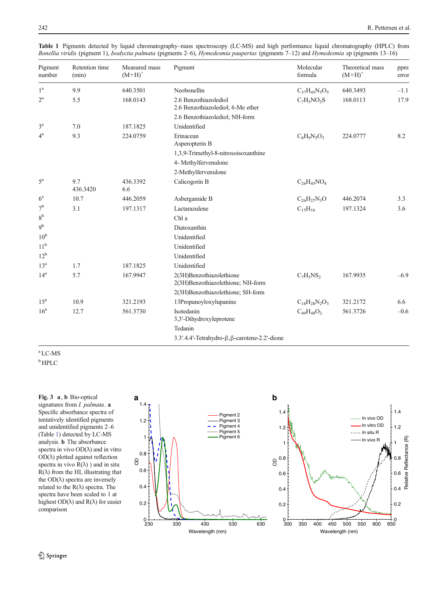| Pigment<br>number          | Retention time<br>(min) | Measured mass<br>$(M+H)^+$ | Pigment                                                       | Molecular<br>formula | Theoretical mass<br>$(M+H)^+$ | ppm<br>error |
|----------------------------|-------------------------|----------------------------|---------------------------------------------------------------|----------------------|-------------------------------|--------------|
| 1 <sup>a</sup>             | 9.9                     | 640.3501                   | Neobonellin                                                   | $C_{37}H_{45}N_5O_5$ | 640.3493                      | $-1.1$       |
| $2^{\rm a}$                | 5.5                     | 168.0143                   | 2.6 Benzothiazolediol<br>2.6 Benzothiazolediol; 6-Me ether    | $C_7H_5NO_2S$        | 168.0113                      | 17.9         |
|                            |                         |                            | 2.6 Benzothiazolediol; NH-form                                |                      |                               |              |
| $3^{\rm a}$<br>$4^{\rm a}$ | 7.0<br>9.3              | 187.1825<br>224.0759       | Unidentified<br>Erinacean<br>Asperopterin B                   | $C_8H_9N_5O_3$       | 224.0777                      | 8.2          |
|                            |                         |                            | 1,3,9-Trimethyl-8-nitrosoisoxanthine<br>4- Methylfervenulone  |                      |                               |              |
| $5^{\mathrm{a}}$           | 9.7<br>436.3420         | 436.3392<br>6.6            | 2-Methylfervenulone<br>Calicogorin B                          | $C_{26}H_{45}NO_4$   |                               |              |
| $6^{\mathrm{a}}$           | 10.7                    | 446.2059                   | Asbergamide B                                                 | $C_{26}H_{27}N_3O$   | 446.2074                      | 3.3          |
| 7 <sup>b</sup>             | 3.1                     | 197.1317                   | Lactarazulene                                                 | $C_{15}H_{16}$       | 197.1324                      | 3.6          |
| $8^{\rm b}$                |                         |                            | Chl a                                                         |                      |                               |              |
| 9 <sup>b</sup>             |                         |                            | Diatoxanthin                                                  |                      |                               |              |
| 10 <sup>b</sup>            |                         |                            | Unidentified                                                  |                      |                               |              |
| 11 <sup>b</sup>            |                         |                            | Unidentified                                                  |                      |                               |              |
| $12^{\rm b}$               |                         |                            | Unidentified                                                  |                      |                               |              |
| 13 <sup>a</sup>            | 1.7                     | 187.1825                   | Unidentified                                                  |                      |                               |              |
| 14 <sup>a</sup>            | 5.7                     | 167.9947                   | 2(3H)Benzothiazolethione<br>2(3H)Benzothiazolethione; NH-form | $C_7H_5NS_2$         | 167.9935                      | $-6.9$       |
|                            |                         |                            | 2(3H)Benzothiazolethione; SH-form                             |                      |                               |              |
| 15 <sup>a</sup>            | 10.9                    | 321.2193                   | 13Propanoyloxylupanine                                        | $C_{18}H_{28}N_2O_3$ | 321.2172                      | 6.6          |
| 16 <sup>a</sup>            | 12.7                    | 561.3730                   | Isotedanin<br>3,3'-Dihydroxyleprotene                         | $C_{40}H_{48}O_2$    | 561.3726                      | $-0.6$       |
|                            |                         |                            | Tedanin                                                       |                      |                               |              |
|                            |                         |                            | 3.3'.4.4'-Tetrahydro-β,β-carotene-2.2'-dione                  |                      |                               |              |

<span id="page-5-0"></span>Table 1 Pigments detected by liquid chromatography–mass spectroscopy (LC-MS) and high performance liquid chromatography (HPLC) from Bonellia viridis (pigment 1), Isodyctia palmata (pigments 2–6), Hymedesmia paupertas (pigments 7–12) and Hymedesmia sp (pigments 13–16)

a LC-MS

<sup>b</sup> HPLC

signatures from *I. palmata*. a Specific absorbance spectra of tentatively identified pigments and unidentified pigments 2–6 (Table 1) detected by LC-MS analysis. b The absorbance spectra in vivo  $OD(\lambda)$  and in vitro OD(λ) plotted against reflection spectra in vivo  $R(\lambda)$ ) and in situ  $R(\lambda)$  from the HI, illustrating that the  $OD(\lambda)$  spectra are inversely related to the  $R(\lambda)$  spectra. The spectra have been scaled to 1 at highest  $OD(\lambda)$  and  $R(\lambda)$  for easier comparison

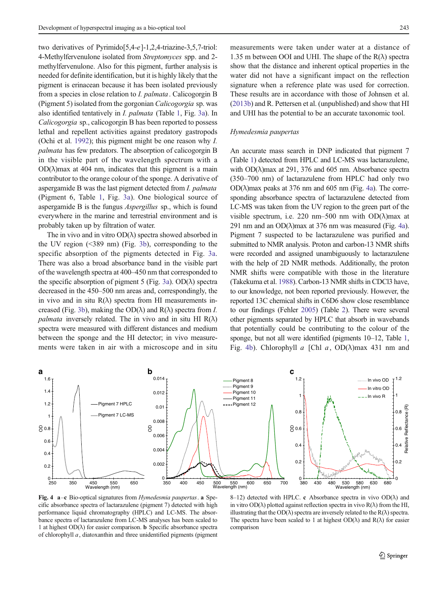<span id="page-6-0"></span>two derivatives of Pyrimido[5,4-e]-1,2,4-triazine-3,5,7-triol: 4-Methylfervenulone isolated from Streptomyces spp. and 2 methylfervenulone. Also for this pigment, further analysis is needed for definite identification, but it is highly likely that the pigment is erinacean because it has been isolated previously from a species in close relation to *I. palmata*. Calicogorgin B (Pigment 5) isolated from the gorgonian Calicogorgia sp. was also identified tentatively in I. palmata (Table [1,](#page-5-0) Fig. [3a\)](#page-5-0). In Calicogorgia sp., calicogorgin B has been reported to possess lethal and repellent activities against predatory gastropods (Ochi et al. [1992](#page-9-0)); this pigment might be one reason why I. palmata has few predators. The absorption of calicogorgin B in the visible part of the wavelength spectrum with a  $OD(\lambda)$ max at 404 nm, indicates that this pigment is a main contributor to the orange colour of the sponge. A derivative of aspergamide B was the last pigment detected from I. palmata (Pigment 6, Table [1](#page-5-0), Fig. [3a](#page-5-0)). One biological source of aspergamide B is the fungus Aspergillus sp., which is found everywhere in the marine and terrestrial environment and is probably taken up by filtration of water.

The in vivo and in vitro  $OD(\lambda)$  spectra showed absorbed in the UV region (<389 nm) (Fig. [3b](#page-5-0)), corresponding to the specific absorption of the pigments detected in Fig. [3a.](#page-5-0) There was also a broad absorbance band in the visible part of the wavelength spectra at 400–450 nm that corresponded to the specific absorption of pigment 5 (Fig. [3a](#page-5-0)).  $OD(\lambda)$  spectra decreased in the 450–500 nm areas and, correspondingly, the in vivo and in situ  $R(\lambda)$  spectra from HI measurements in-creased (Fig. [3b](#page-5-0)), making the  $OD(\lambda)$  and  $R(\lambda)$  spectra from *I*. *palmata* inversely related. The in vivo and in situ HI  $R(\lambda)$ spectra were measured with different distances and medium between the sponge and the HI detector; in vivo measurements were taken in air with a microscope and in situ measurements were taken under water at a distance of 1.35 m between OOI and UHI. The shape of the  $R(\lambda)$  spectra show that the distance and inherent optical properties in the water did not have a significant impact on the reflection signature when a reference plate was used for correction. These results are in accordance with those of Johnsen et al. [\(2013b\)](#page-9-0) and R. Pettersen et al. (unpublished) and show that HI and UHI has the potential to be an accurate taxonomic tool.

#### Hymedesmia paupertas

An accurate mass search in DNP indicated that pigment 7 (Table [1\)](#page-5-0) detected from HPLC and LC-MS was lactarazulene, with  $OD(\lambda)$  max at 291, 376 and 605 nm. Absorbance spectra (350–700 nm) of lactarazulene from HPLC had only two  $OD(\lambda)$ max peaks at 376 nm and 605 nm (Fig. 4a). The corresponding absorbance spectra of lactarazulene detected from LC-MS was taken from the UV region to the green part of the visible spectrum, i.e. 220 nm–500 nm with  $OD(\lambda)$  max at 291 nm and an  $OD(\lambda)$ max at 376 nm was measured (Fig. 4a). Pigment 7 suspected to be lactarazulene was purified and submitted to NMR analysis. Proton and carbon-13 NMR shifts were recorded and assigned unambiguously to lactarazulene with the help of 2D NMR methods. Additionally, the proton NMR shifts were compatible with those in the literature (Takekuma et al. [1988](#page-9-0)). Carbon-13 NMR shifts in CDCl3 have, to our knowledge, not been reported previously. However, the reported 13C chemical shifts in C6D6 show close resemblance to our findings (Fehler [2005\)](#page-9-0) (Table [2\)](#page-7-0). There were several other pigments separated by HPLC that absorb in wavebands that potentially could be contributing to the colour of the sponge, but not all were identified (pigments 10–12, Table [1,](#page-5-0) Fig. 4b). Chlorophyll a [Chl a,  $OD(\lambda)$ max 431 nm and



Fig. 4  $a$ –c Bio-optical signatures from Hymedesmia paupertas. a Specific absorbance spectra of lactarazulene (pigment 7) detected with high performance liquid chromatography (HPLC) and LC-MS. The absorbance spectra of lactarazulene from LC-MS analyses has been scaled to 1 at highest  $OD(\lambda)$  for easier comparison. **b** Specific absorbance spectra of chlorophyll a, diatoxanthin and three unidentified pigments (pigment

8–12) detected with HPLC. c Absorbance spectra in vivo  $OD(\lambda)$  and in vitro  $OD(\lambda)$  plotted against reflection spectra in vivo  $R(\lambda)$  from the HI, illustrating that the OD( $\lambda$ ) spectra are inversely related to the R( $\lambda$ ) spectra. The spectra have been scaled to 1 at highest  $OD(\lambda)$  and  $R(\lambda)$  for easier comparison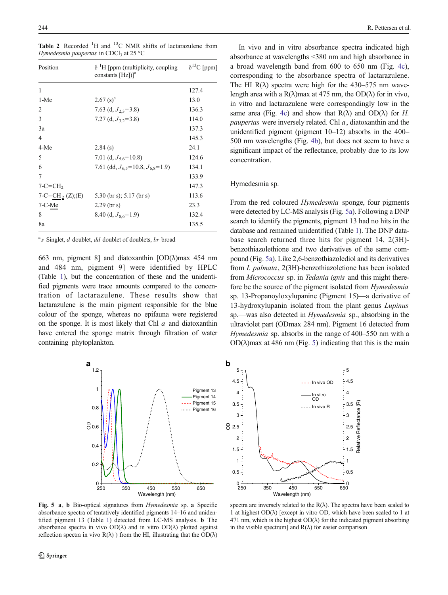| Position                    | $\delta$ <sup>1</sup> H [ppm (multiplicity, coupling<br>constants $[Hz])$ <sup>a</sup> | $\delta^{13}$ C [ppm] |
|-----------------------------|----------------------------------------------------------------------------------------|-----------------------|
| 1                           |                                                                                        | 127.4                 |
| 1-Me                        | $2.67$ (s) <sup>a</sup>                                                                | 13.0                  |
| 2                           | 7.63 (d, $J_{2,3}$ =3.8)                                                               | 136.3                 |
| $\mathbf{3}$                | 7.27 (d, $J_{3.2}$ =3.8)                                                               | 114.0                 |
| 3a                          |                                                                                        | 137.3                 |
| $\overline{4}$              |                                                                                        | 145.3                 |
| 4-Me                        | 2.84(s)                                                                                | 24.1                  |
| 5                           | 7.01 (d, $J_{5.6}$ =10.8)                                                              | 124.6                 |
| 6                           | 7.61 (dd, $J_{6.5}$ =10.8, $J_{6.8}$ =1.9)                                             | 134.1                 |
| 7                           |                                                                                        | 133.9                 |
| $7-C=CH2$                   |                                                                                        | 147.3                 |
| 7-C=CH <sub>2</sub> (Z);(E) | 5.30 (br s); $5.17$ (br s)                                                             | 113.6                 |
| $7-C-Me$                    | $2.29$ (br s)                                                                          | 23.3                  |
| 8                           | 8.40 (d, $J_{8.6}$ =1.9)                                                               | 132.4                 |
| 8a                          |                                                                                        | 135.5                 |

<span id="page-7-0"></span>Table 2 Recorded  ${}^{1}H$  and  ${}^{13}C$  NMR shifts of lactarazulene from Hymedesmia paupertas in CDCl<sub>3</sub> at 25 °C

 $a<sup>a</sup>$ s Singlet, *d* doublet, *dd* doublet of doublets, *br* broad

663 nm, pigment 8] and diatoxanthin  $[OD(\lambda)$ max 454 nm and 484 nm, pigment 9] were identified by HPLC (Table [1](#page-5-0)), but the concentration of these and the unidentified pigments were trace amounts compared to the concentration of lactarazulene. These results show that lactarazulene is the main pigment responsible for the blue colour of the sponge, whereas no epifauna were registered on the sponge. It is most likely that Chl  $a$  and diatoxanthin have entered the sponge matrix through filtration of water containing phytoplankton.



Fig. 5 a, b Bio-optical signatures from Hymedesmia sp. a Specific absorbance spectra of tentatively identified pigments 14–16 and unidentified pigment 13 (Table [1\)](#page-5-0) detected from LC-MS analysis. b The absorbance spectra in vivo  $OD(\lambda)$  and in vitro  $OD(\lambda)$  plotted against reflection spectra in vivo  $R(\lambda)$ ) from the HI, illustrating that the  $OD(\lambda)$ 

In vivo and in vitro absorbance spectra indicated high absorbance at wavelengths <380 nm and high absorbance in a broad wavelength band from 600 to 650 nm (Fig. [4c\)](#page-6-0), corresponding to the absorbance spectra of lactarazulene. The HI  $R(\lambda)$  spectra were high for the 430–575 nm wavelength area with a R( $\lambda$ )max at 475 nm, the OD( $\lambda$ ) for in vivo, in vitro and lactarazulene were correspondingly low in the same area (Fig. [4c\)](#page-6-0) and show that  $R(\lambda)$  and  $OD(\lambda)$  for H. *paupertas* were inversely related. Chl  $a$ , diatoxanthin and the unidentified pigment (pigment 10–12) absorbs in the 400– 500 nm wavelengths (Fig. [4b](#page-6-0)), but does not seem to have a significant impact of the reflectance, probably due to its low concentration.

# Hymedesmia sp.

From the red coloured *Hymedesmia* sponge, four pigments were detected by LC-MS analysis (Fig. 5a). Following a DNP search to identify the pigments, pigment 13 had no hits in the database and remained unidentified (Table [1](#page-5-0)). The DNP database search returned three hits for pigment 14, 2(3H) benzothiazolethione and two derivatives of the same compound (Fig. 5a). Like 2,6-benzothiazolediol and its derivatives from I. palmata, 2(3H)-benzothiazoletione has been isolated from *Micrococcus* sp. in *Tedania ignis* and this might therefore be the source of the pigment isolated from Hymedesmia sp. 13-Propanoyloxylupanine (Pigment 15)—a derivative of 13-hydroxylupanin isolated from the plant genus Lupinus sp.—was also detected in Hymedesmia sp., absorbing in the ultraviolet part (ODmax 284 nm). Pigment 16 detected from Hymedesmia sp. absorbs in the range of 400–550 nm with a  $OD(\lambda)$  max at 486 nm (Fig. 5) indicating that this is the main



spectra are inversely related to the  $R(\lambda)$ . The spectra have been scaled to 1 at highest OD(λ) [except in vitro OD, which have been scaled to 1 at 471 nm, which is the highest  $OD(\lambda)$  for the indicated pigment absorbing in the visible spectrum] and  $R(\lambda)$  for easier comparison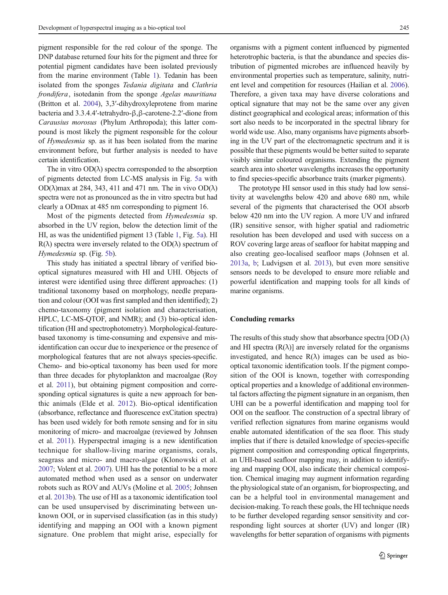pigment responsible for the red colour of the sponge. The DNP database returned four hits for the pigment and three for potential pigment candidates have been isolated previously from the marine environment (Table [1](#page-5-0)). Tedanin has been isolated from the sponges Tedania digitata and Clathria frondifera, isotedanin from the sponge Agelas mauritiana (Britton et al. [2004\)](#page-9-0), 3,3′-dihydroxyleprotene from marine bacteria and 3.3.4.4′-tetrahydro-β,β-carotene-2.2′-dione from Carausius morosus (Phylum Arthropoda); this latter compound is most likely the pigment responsible for the colour of Hymedesmia sp. as it has been isolated from the marine environment before, but further analysis is needed to have certain identification.

The in vitro  $OD(\lambda)$  spectra corresponded to the absorption of pigments detected from LC-MS analysis in Fig. [5a](#page-7-0) with OD( $\lambda$ )max at 284, 343, 411 and 471 nm. The in vivo OD( $\lambda$ ) spectra were not as pronounced as the in vitro spectra but had clearly a ODmax at 485 nm corresponding to pigment 16.

Most of the pigments detected from Hymedesmia sp. absorbed in the UV region, below the detection limit of the HI, as was the unidentified pigment 13 (Table [1](#page-5-0), Fig. [5a\)](#page-7-0). HI  $R(\lambda)$  spectra were inversely related to the OD( $\lambda$ ) spectrum of Hymedesmia sp. (Fig. [5b\)](#page-7-0).

This study has initiated a spectral library of verified biooptical signatures measured with HI and UHI. Objects of interest were identified using three different approaches: (1) traditional taxonomy based on morphology, needle preparation and colour (OOI was first sampled and then identified); 2) chemo-taxonomy (pigment isolation and characterisation, HPLC, LC-MS-QTOF, and NMR); and (3) bio-optical identification (HI and spectrophotometry). Morphological-featurebased taxonomy is time-consuming and expensive and misidentification can occur due to inexperience or the presence of morphological features that are not always species-specific. Chemo- and bio-optical taxonomy has been used for more than three decades for phytoplankton and macroalgae (Roy et al. [2011](#page-9-0)), but obtaining pigment composition and corresponding optical signatures is quite a new approach for benthic animals (Elde et al. [2012\)](#page-9-0). Bio-optical identification (absorbance, reflectance and fluorescence exCitation spectra) has been used widely for both remote sensing and for in situ monitoring of micro- and macroalgae (reviewed by Johnsen et al. [2011\)](#page-9-0). Hyperspectral imaging is a new identification technique for shallow-living marine organisms, corals, seagrass and micro- and macro-algae (Klonowski et al. [2007;](#page-9-0) Volent et al. [2007](#page-9-0)). UHI has the potential to be a more automated method when used as a sensor on underwater robots such as ROV and AUVs (Moline et al. [2005](#page-9-0); Johnsen et al. [2013b](#page-9-0)). The use of HI as a taxonomic identification tool can be used unsupervised by discriminating between unknown OOI, or in supervised classification (as in this study) identifying and mapping an OOI with a known pigment signature. One problem that might arise, especially for

organisms with a pigment content influenced by pigmented heterotrophic bacteria, is that the abundance and species distribution of pigmented microbes are influenced heavily by environmental properties such as temperature, salinity, nutrient level and competition for resources (Hailian et al. [2006\)](#page-9-0). Therefore, a given taxa may have diverse colorations and optical signature that may not be the same over any given distinct geographical and ecological areas; information of this sort also needs to be incorporated in the spectral library for world wide use. Also, many organisms have pigments absorbing in the UV part of the electromagnetic spectrum and it is possible that these pigments would be better suited to separate visibly similar coloured organisms. Extending the pigment search area into shorter wavelengths increases the opportunity to find species-specific absorbance traits (marker pigments).

The prototype HI sensor used in this study had low sensitivity at wavelengths below 420 and above 680 nm, while several of the pigments that characterised the OOI absorb below 420 nm into the UV region. A more UV and infrared (IR) sensitive sensor, with higher spatial and radiometric resolution has been developed and used with success on a ROV covering large areas of seafloor for habitat mapping and also creating geo-localised seafloor maps (Johnsen et al. [2013a](#page-9-0), [b](#page-9-0); Ludvigsen et al. [2013\)](#page-9-0), but even more sensitive sensors needs to be developed to ensure more reliable and powerful identification and mapping tools for all kinds of marine organisms.

# Concluding remarks

The results of this study show that absorbance spectra  $[OD ( $\lambda$ )$ and HI spectra  $(R(\lambda))$  are inversely related for the organisms investigated, and hence  $R(\lambda)$  images can be used as biooptical taxonomic identification tools. If the pigment composition of the OOI is known, together with corresponding optical properties and a knowledge of additional environmental factors affecting the pigment signature in an organism, then UHI can be a powerful identification and mapping tool for OOI on the seafloor. The construction of a spectral library of verified reflection signatures from marine organisms would enable automated identification of the sea floor. This study implies that if there is detailed knowledge of species-specific pigment composition and corresponding optical fingerprints, an UHI-based seafloor mapping may, in addition to identifying and mapping OOI, also indicate their chemical composition. Chemical imaging may augment information regarding the physiological state of an organism, for bioprospecting, and can be a helpful tool in environmental management and decision-making. To reach these goals, the HI technique needs to be further developed regarding sensor sensitivity and corresponding light sources at shorter (UV) and longer (IR) wavelengths for better separation of organisms with pigments